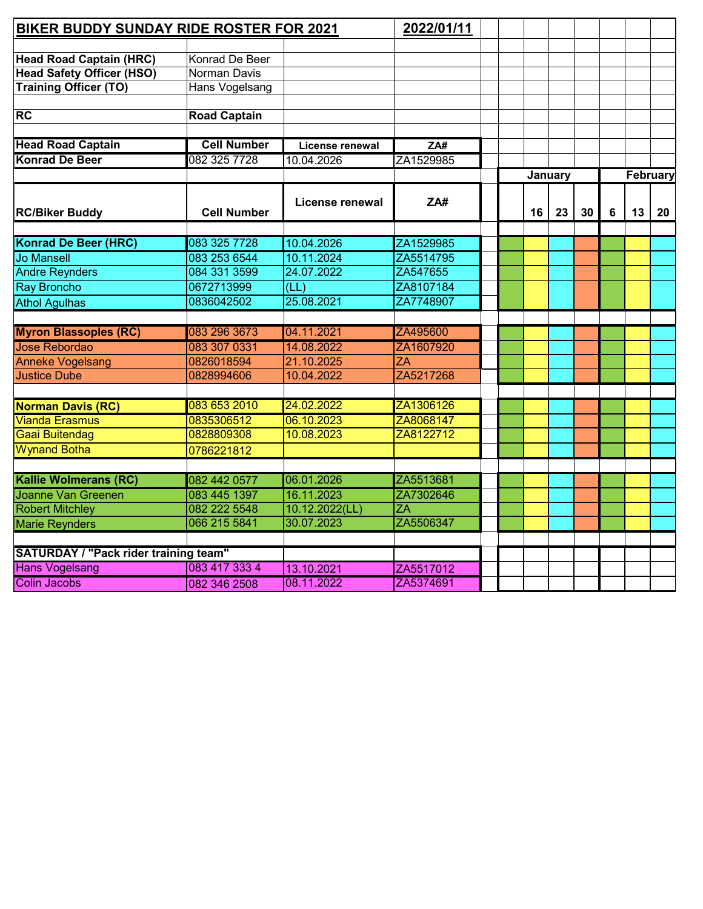| BIKER BUDDY SUNDAY RIDE ROSTER FOR 2021      | 2022/01/11          |                 |                 |  |         |    |    |   |          |    |
|----------------------------------------------|---------------------|-----------------|-----------------|--|---------|----|----|---|----------|----|
|                                              |                     |                 |                 |  |         |    |    |   |          |    |
| <b>Head Road Captain (HRC)</b>               | Konrad De Beer      |                 |                 |  |         |    |    |   |          |    |
| <b>Head Safety Officer (HSO)</b>             | Norman Davis        |                 |                 |  |         |    |    |   |          |    |
| <b>Training Officer (TO)</b>                 | Hans Vogelsang      |                 |                 |  |         |    |    |   |          |    |
|                                              |                     |                 |                 |  |         |    |    |   |          |    |
| <b>RC</b>                                    | <b>Road Captain</b> |                 |                 |  |         |    |    |   |          |    |
| <b>Head Road Captain</b>                     | <b>Cell Number</b>  | License renewal | ZAH             |  |         |    |    |   |          |    |
| <b>Konrad De Beer</b>                        | 082 325 7728        | 10.04.2026      | ZA1529985       |  |         |    |    |   |          |    |
|                                              |                     |                 |                 |  | January |    |    |   | February |    |
| <b>RC/Biker Buddy</b>                        | <b>Cell Number</b>  | License renewal | ZA#             |  | 16      | 23 | 30 | 6 | 13       | 20 |
|                                              |                     |                 |                 |  |         |    |    |   |          |    |
| <b>Konrad De Beer (HRC)</b>                  | 083 325 7728        | 10.04.2026      | ZA1529985       |  |         |    |    |   |          |    |
| <b>Jo Mansell</b>                            | 083 253 6544        | 10.11.2024      | ZA5514795       |  |         |    |    |   |          |    |
| <b>Andre Reynders</b>                        | 084 331 3599        | 24.07.2022      | ZA547655        |  |         |    |    |   |          |    |
| <b>Ray Broncho</b>                           | 0672713999          | (LL)            | ZA8107184       |  |         |    |    |   |          |    |
| <b>Athol Agulhas</b>                         | 0836042502          | 25.08.2021      | ZA7748907       |  |         |    |    |   |          |    |
|                                              |                     |                 |                 |  |         |    |    |   |          |    |
| <b>Myron Blassoples (RC)</b>                 | 083 296 3673        | 04.11.2021      | ZA495600        |  |         |    |    |   |          |    |
| Jose Rebordao                                | 083 307 0331        | 14.08.2022      | ZA1607920       |  |         |    |    |   |          |    |
| <b>Anneke Vogelsang</b>                      | 0826018594          | 21.10.2025      | $\overline{ZA}$ |  |         |    |    |   |          |    |
| <b>Justice Dube</b>                          | 0828994606          | 10.04.2022      | ZA5217268       |  |         |    |    |   |          |    |
| <b>Norman Davis (RC)</b>                     | 083 653 2010        | 24.02.2022      | ZA1306126       |  |         |    |    |   |          |    |
| <b>Vianda Erasmus</b>                        | 0835306512          | 06.10.2023      | ZA8068147       |  |         |    |    |   |          |    |
| Gaai Buitendag                               | 0828809308          | 10.08.2023      | ZA8122712       |  |         |    |    |   |          |    |
| <b>Wynand Botha</b>                          |                     |                 |                 |  |         |    |    |   |          |    |
|                                              | 0786221812          |                 |                 |  |         |    |    |   |          |    |
| <b>Kallie Wolmerans (RC)</b>                 | 082 442 0577        | 06.01.2026      | ZA5513681       |  |         |    |    |   |          |    |
| <b>Joanne Van Greenen</b>                    | 083 445 1397        | 16.11.2023      | ZA7302646       |  |         |    |    |   |          |    |
| <b>Robert Mitchley</b>                       | 082 222 5548        | 10.12.2022(LL)  | ZÄ              |  |         |    |    |   |          |    |
| Marie Reynders                               | 066 215 5841        | 30.07.2023      | ZA5506347       |  |         |    |    |   |          |    |
|                                              |                     |                 |                 |  |         |    |    |   |          |    |
| <b>SATURDAY / "Pack rider training team"</b> |                     |                 |                 |  |         |    |    |   |          |    |
| <b>Hans Vogelsang</b>                        | 083 417 333 4       | 13.10.2021      | ZA5517012       |  |         |    |    |   |          |    |
| <b>Colin Jacobs</b>                          | 082 346 2508        | 08.11.2022      | ZA5374691       |  |         |    |    |   |          |    |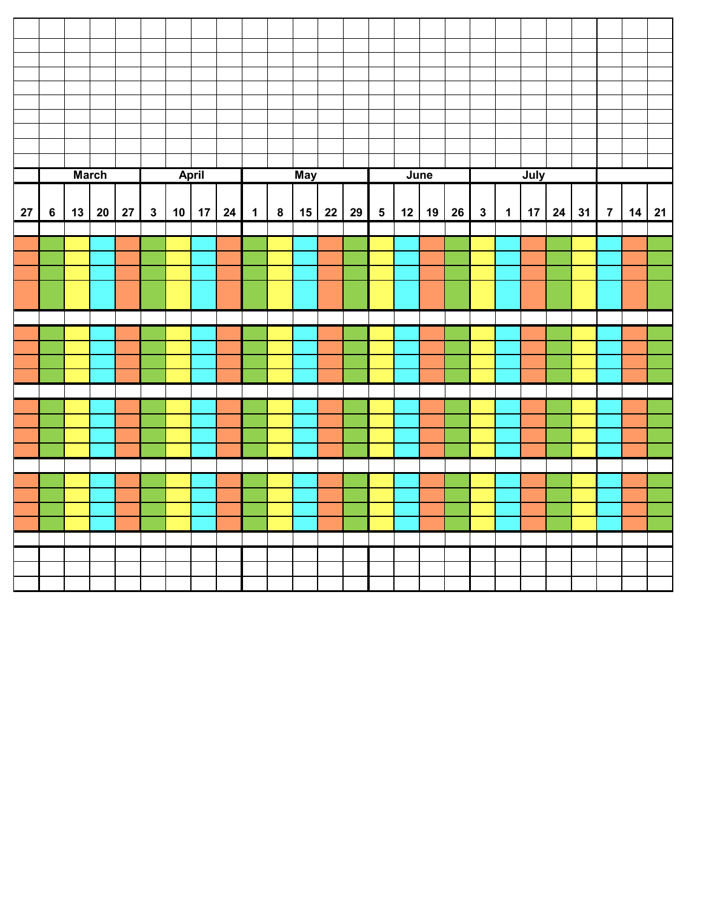|    |                |    | <b>March</b> |    |              |    | <b>April</b> |    |             |          | <b>May</b> |    |    |                | June       |              |             | July |              |                |    |
|----|----------------|----|--------------|----|--------------|----|--------------|----|-------------|----------|------------|----|----|----------------|------------|--------------|-------------|------|--------------|----------------|----|
|    |                |    |              |    |              |    |              |    |             |          |            |    |    |                |            |              |             |      |              |                |    |
| 27 | $6\phantom{a}$ | 13 | $20\,$       | 27 | $\mathbf{3}$ | 10 | 17           | 24 | $\mathbf 1$ | $\bf{8}$ | 15         | 22 | 29 | 5 <sup>5</sup> | $12$ 19 26 | $\mathbf{3}$ | $\mathbf 1$ | 17   | $24 \mid 31$ | $\overline{7}$ | 14 |
|    |                |    |              |    |              |    |              |    |             |          |            |    |    |                |            |              |             |      |              |                |    |
|    |                |    |              |    |              |    |              |    |             |          |            |    |    |                |            |              |             |      |              |                |    |
|    |                |    |              |    |              |    |              |    |             |          |            |    |    |                |            |              |             |      |              |                |    |
|    |                |    |              |    |              |    |              |    |             |          |            |    |    |                |            |              |             |      |              |                |    |
|    |                |    |              |    |              |    |              |    |             |          |            |    |    |                |            |              |             |      |              |                |    |
|    |                |    |              |    |              |    |              |    |             |          |            |    |    |                |            |              |             |      |              |                |    |
|    |                |    |              |    |              |    |              |    |             |          |            |    |    |                |            |              |             |      |              |                |    |
|    |                |    |              |    |              |    |              |    |             |          |            |    |    |                |            |              |             |      |              |                |    |
|    |                |    |              |    |              |    |              |    |             |          |            |    |    |                |            |              |             |      |              |                |    |
|    |                |    |              |    |              |    |              |    |             |          |            |    |    |                |            |              |             |      |              |                |    |
|    |                |    |              |    |              |    |              |    |             |          |            |    |    |                |            |              |             |      |              |                |    |
|    |                |    |              |    |              |    |              |    |             |          |            |    |    |                |            |              |             |      |              |                |    |
|    |                |    |              |    |              |    |              |    |             |          |            |    |    |                |            |              |             |      |              |                |    |
|    |                |    |              |    |              |    |              |    |             |          |            |    |    |                |            |              |             |      |              |                |    |
|    |                |    |              |    |              |    |              |    |             |          |            |    |    |                |            |              |             |      |              |                |    |
|    |                |    |              |    |              |    |              |    |             |          |            |    |    |                |            |              |             |      |              |                |    |
|    |                |    |              |    |              |    |              |    |             |          |            |    |    |                |            |              |             |      |              |                |    |
|    |                |    |              |    |              |    |              |    |             |          |            |    |    |                |            |              |             |      |              |                |    |
|    |                |    |              |    |              |    |              |    |             |          |            |    |    |                |            |              |             |      |              |                |    |
|    |                |    |              |    |              |    |              |    |             |          |            |    |    |                |            |              |             |      |              |                |    |
|    |                |    |              |    |              |    |              |    |             |          |            |    |    |                |            |              |             |      |              |                |    |
|    |                |    |              |    |              |    |              |    |             |          |            |    |    |                |            |              |             |      |              |                |    |
|    |                |    |              |    |              |    |              |    |             |          |            |    |    |                |            |              |             |      |              |                |    |
|    |                |    |              |    |              |    |              |    |             |          |            |    |    |                |            |              |             |      |              |                |    |
|    |                |    |              |    |              |    |              |    |             |          |            |    |    |                |            |              |             |      |              |                |    |